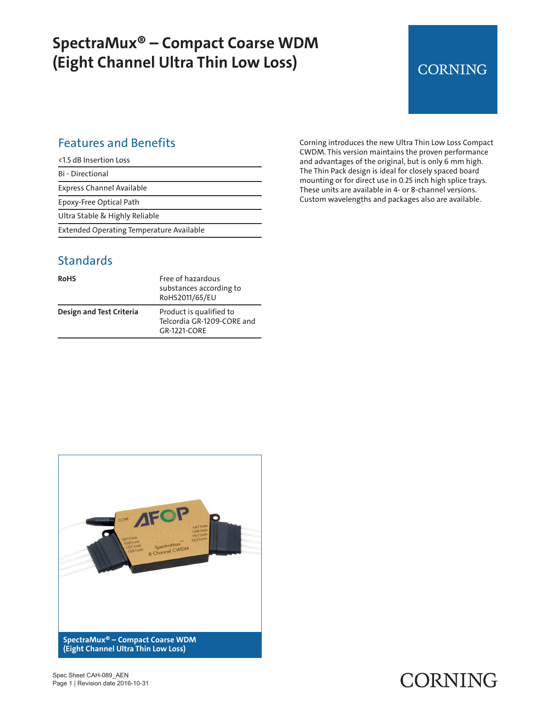## **SpectraMux® – Compact Coarse WDM (Eight Channel Ultra Thin Low Loss)**

# **CORNING**

### Features and Benefits

Bi - Directional

Express Channel Available

Epoxy-Free Optical Path

Ultra Stable & Highly Reliable

Extended Operating Temperature Available

#### **Standards**

| <b>RoHS</b>              | Free of hazardous<br>substances according to<br>RoHS2011/65/EU        |
|--------------------------|-----------------------------------------------------------------------|
| Design and Test Criteria | Product is qualified to<br>Telcordia GR-1209-CORE and<br>GR-1221-CORF |

Corning introduces the new Ultra Thin Low Loss Compact CWDM. This version maintains the proven performance and advantages of the original, but is only 6 mm high. The Thin Pack design is ideal for closely spaced board mounting or for direct use in 0.25 inch high splice trays. These units are available in 4- or 8-channel versions. Custom wavelengths and packages also are available.



# CORNING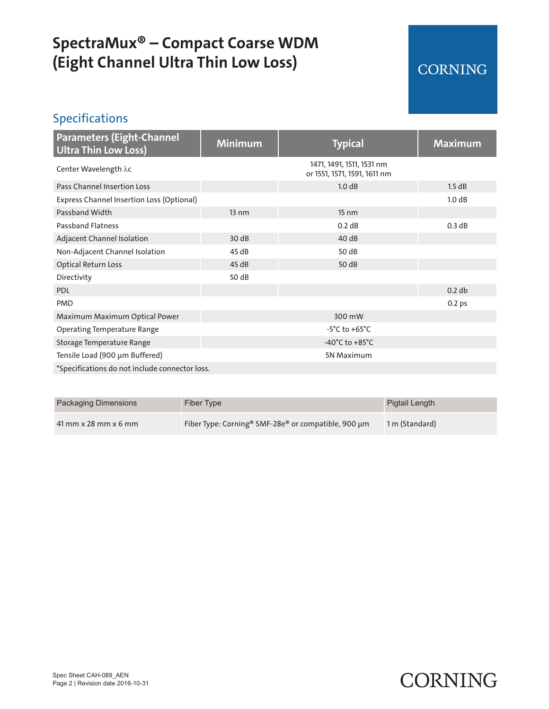# **SpectraMux® – Compact Coarse WDM (Eight Channel Ultra Thin Low Loss)**

## **CORNING**

## Specifications

| <b>Parameters (Eight-Channel</b><br><b>Ultra Thin Low Loss)</b> | <b>Minimum</b>  | <b>Typical</b>                                            | <b>Maximum</b>    |
|-----------------------------------------------------------------|-----------------|-----------------------------------------------------------|-------------------|
| Center Wavelength λc                                            |                 | 1471, 1491, 1511, 1531 nm<br>or 1551, 1571, 1591, 1611 nm |                   |
| Pass Channel Insertion Loss                                     |                 | 1.0 dB                                                    | 1.5 dB            |
| Express Channel Insertion Loss (Optional)                       |                 |                                                           | 1.0 dB            |
| Passband Width                                                  | $13 \text{ nm}$ | $15 \text{ nm}$                                           |                   |
| <b>Passband Flatness</b>                                        |                 | 0.2 dB                                                    | 0.3 dB            |
| Adjacent Channel Isolation                                      | 30dB            | 40 dB                                                     |                   |
| Non-Adjacent Channel Isolation                                  | 45 dB           | 50 dB                                                     |                   |
| <b>Optical Return Loss</b>                                      | 45dB            | 50 dB                                                     |                   |
| Directivity                                                     | 50 dB           |                                                           |                   |
| <b>PDL</b>                                                      |                 |                                                           | 0.2 db            |
| <b>PMD</b>                                                      |                 |                                                           | 0.2 <sub>ps</sub> |
| Maximum Maximum Optical Power                                   |                 | 300 mW                                                    |                   |
| <b>Operating Temperature Range</b>                              |                 | $-5^{\circ}$ C to $+65^{\circ}$ C                         |                   |
| Storage Temperature Range                                       |                 | $-40^{\circ}$ C to $+85^{\circ}$ C                        |                   |
| Tensile Load (900 µm Buffered)                                  |                 | 5N Maximum                                                |                   |
| *Specifications do not include connector loss.                  |                 |                                                           |                   |

| <b>Packaging Dimensions</b> | Fiber Type                                                                  | Pigtail Length |
|-----------------------------|-----------------------------------------------------------------------------|----------------|
| $41$ mm x 28 mm x 6 mm      | Fiber Type: Corning <sup>®</sup> SMF-28e <sup>®</sup> or compatible, 900 µm | 1 m (Standard) |